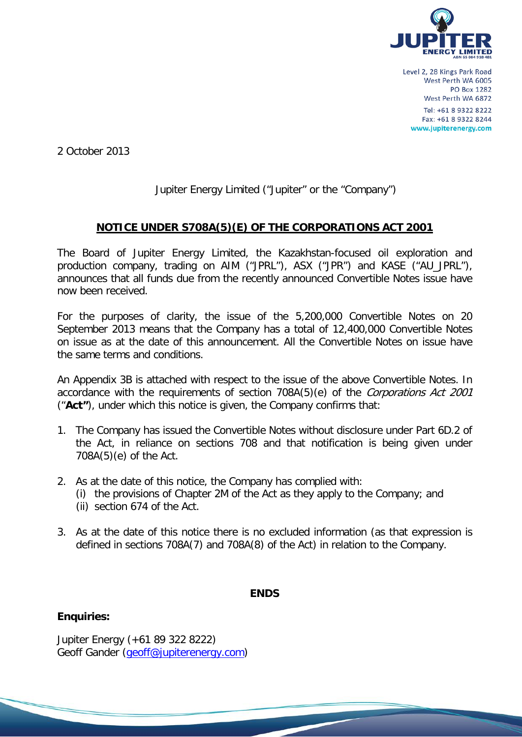

2 October 2013

## Jupiter Energy Limited ("Jupiter" or the "Company")

## **NOTICE UNDER S708A(5)(E) OF THE CORPORATIONS ACT 2001**

The Board of Jupiter Energy Limited, the Kazakhstan-focused oil exploration and production company, trading on AIM ("JPRL"), ASX ("JPR") and KASE ("AU\_JPRL"), announces that all funds due from the recently announced Convertible Notes issue have now been received.

For the purposes of clarity, the issue of the 5,200,000 Convertible Notes on 20 September 2013 means that the Company has a total of 12,400,000 Convertible Notes on issue as at the date of this announcement. All the Convertible Notes on issue have the same terms and conditions.

An Appendix 3B is attached with respect to the issue of the above Convertible Notes. In accordance with the requirements of section 708A(5)(e) of the Corporations Act 2001 ("**Act"**), under which this notice is given, the Company confirms that:

- 1. The Company has issued the Convertible Notes without disclosure under Part 6D.2 of the Act, in reliance on sections 708 and that notification is being given under 708A(5)(e) of the Act.
- 2. As at the date of this notice, the Company has complied with:
	- (i) the provisions of Chapter 2M of the Act as they apply to the Company; and
	- (ii) section 674 of the Act.
- 3. As at the date of this notice there is no excluded information (as that expression is defined in sections 708A(7) and 708A(8) of the Act) in relation to the Company.

### **ENDS**

### **Enquiries:**

Jupiter Energy (+61 89 322 8222) Geoff Gander [\(geoff@jupiterenergy.com\)](mailto:geoff@jupiterenergy.com)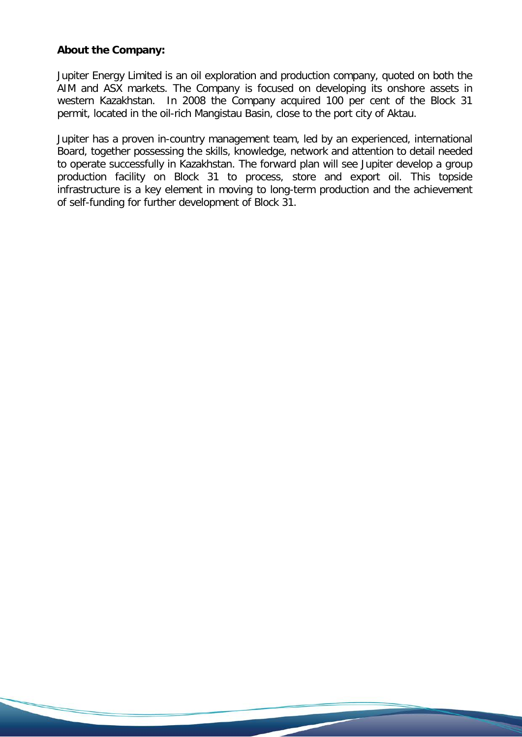## **About the Company:**

Jupiter Energy Limited is an oil exploration and production company, quoted on both the AIM and ASX markets. The Company is focused on developing its onshore assets in western Kazakhstan. In 2008 the Company acquired 100 per cent of the Block 31 permit, located in the oil-rich Mangistau Basin, close to the port city of Aktau.

Jupiter has a proven in-country management team, led by an experienced, international Board, together possessing the skills, knowledge, network and attention to detail needed to operate successfully in Kazakhstan. The forward plan will see Jupiter develop a group production facility on Block 31 to process, store and export oil. This topside infrastructure is a key element in moving to long-term production and the achievement of self-funding for further development of Block 31.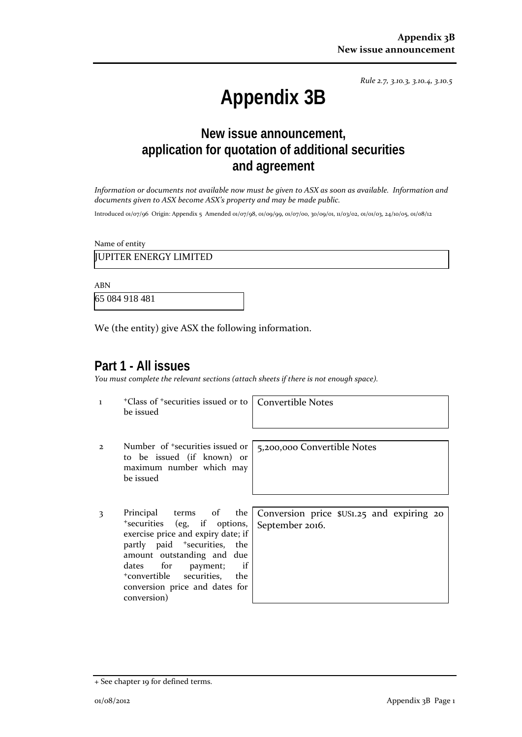*Rule 2.7, 3.10.3, 3.10.4, 3.10.5*

# **Appendix 3B**

# **New issue announcement, application for quotation of additional securities and agreement**

*Information or documents not available now must be given to ASX as soon as available. Information and documents given to ASX become ASX's property and may be made public.*

Introduced 01/07/96 Origin: Appendix 5 Amended 01/07/98, 01/09/99, 01/07/00, 30/09/01, 11/03/02, 01/01/03, 24/10/05, 01/08/12

Name of entity

JUPITER ENERGY LIMITED

ABN

65 084 918 481

We (the entity) give ASX the following information.

## **Part 1 - All issues**

*You must complete the relevant sections (attach sheets if there is not enough space).*

1 +Class of +securities issued or to be issued

Convertible Notes

- 2 Number of +securities issued or to be issued (if known) or maximum number which may be issued
- 3 Principal terms of the +securities (eg, if options, exercise price and expiry date; if partly paid <sup>+</sup>securities, the amount outstanding and due dates for payment; if<br>
+convertible securities, the conversion price and dates for conversion)

5,200,000 Convertible Notes

Conversion price \$US1.25 and expiring 20 September 2016.

<sup>+</sup> See chapter 19 for defined terms.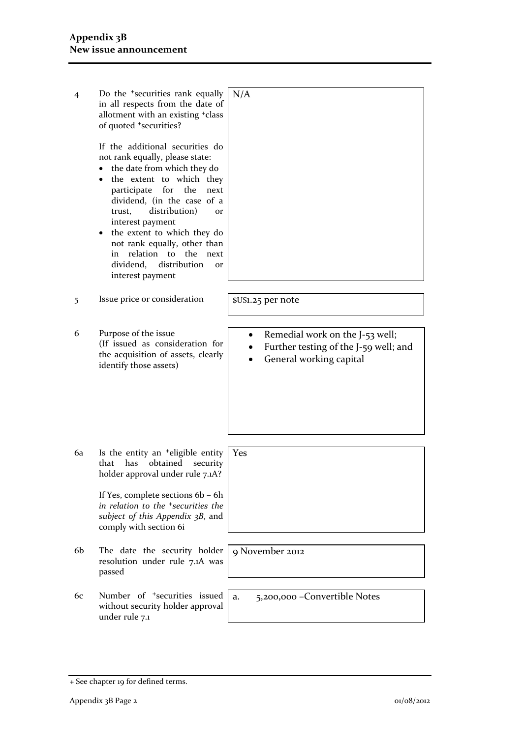| 4  | Do the <sup>+</sup> securities rank equally<br>in all respects from the date of<br>allotment with an existing +class                                                                                                                                                                                                                                                                                                                          | N/A                                                                                                 |
|----|-----------------------------------------------------------------------------------------------------------------------------------------------------------------------------------------------------------------------------------------------------------------------------------------------------------------------------------------------------------------------------------------------------------------------------------------------|-----------------------------------------------------------------------------------------------------|
|    | of quoted *securities?                                                                                                                                                                                                                                                                                                                                                                                                                        |                                                                                                     |
|    | If the additional securities do<br>not rank equally, please state:<br>the date from which they do<br>$\bullet$<br>the extent to which they<br>$\bullet$<br>participate for the<br>next<br>dividend, (in the case of a<br>distribution)<br>trust,<br>$\alpha$ r<br>interest payment<br>the extent to which they do<br>not rank equally, other than<br>in relation to the<br>next<br>distribution<br>dividend,<br><b>Or</b><br>interest payment |                                                                                                     |
| 5  | Issue price or consideration                                                                                                                                                                                                                                                                                                                                                                                                                  | \$US1.25 per note                                                                                   |
|    |                                                                                                                                                                                                                                                                                                                                                                                                                                               |                                                                                                     |
| 6  | Purpose of the issue<br>(If issued as consideration for<br>the acquisition of assets, clearly<br>identify those assets)                                                                                                                                                                                                                                                                                                                       | Remedial work on the J-53 well;<br>Further testing of the J-59 well; and<br>General working capital |
|    |                                                                                                                                                                                                                                                                                                                                                                                                                                               |                                                                                                     |
| 6a | Is the entity an <sup>+</sup> eligible entity<br>has<br>obtained<br>that<br>security<br>holder approval under rule 7.1A?                                                                                                                                                                                                                                                                                                                      | Yes                                                                                                 |
|    | If Yes, complete sections 6b - 6h<br>in relation to the <sup>+</sup> securities the<br>subject of this Appendix 3B, and<br>comply with section 6i                                                                                                                                                                                                                                                                                             |                                                                                                     |
| 6b | The date the security holder                                                                                                                                                                                                                                                                                                                                                                                                                  | 9 November 2012                                                                                     |
|    | resolution under rule 7.1A was<br>passed                                                                                                                                                                                                                                                                                                                                                                                                      |                                                                                                     |
| 6c | Number of <sup>+</sup> securities issued                                                                                                                                                                                                                                                                                                                                                                                                      | 5,200,000 - Convertible Notes<br>a.                                                                 |
|    | without security holder approval<br>under rule 7.1                                                                                                                                                                                                                                                                                                                                                                                            |                                                                                                     |

<sup>+</sup> See chapter 19 for defined terms.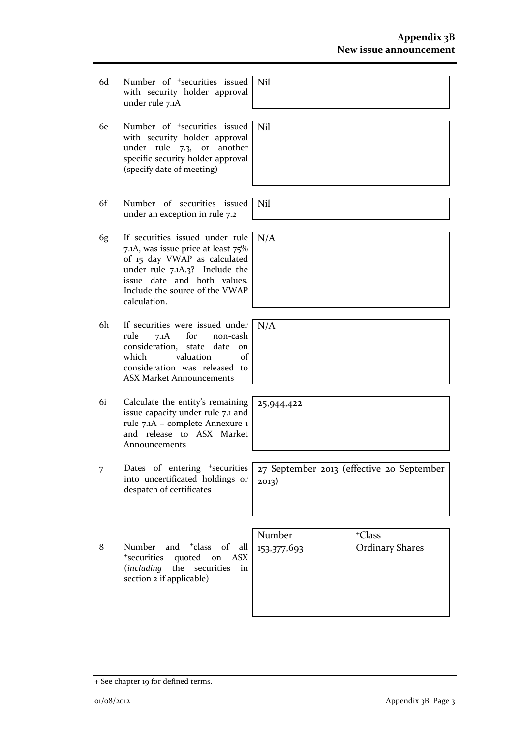- 6d Number of +securities issued with security holder approval under rule 7.1A
- 6e Number of +securities issued with security holder approval under rule 7.3, or another specific security holder approval (specify date of meeting)
- 6f Number of securities issued under an exception in rule 7.2
- 6g If securities issued under rule 7.1A, was issue price at least 75% of 15 day VWAP as calculated under rule 7.1A.3? Include the issue date and both values. Include the source of the VWAP calculation.
- 6h If securities were issued under rule 7.1A for non-cash consideration, state date on which valuation of consideration was released to ASX Market Announcements
- 6i Calculate the entity's remaining issue capacity under rule 7.1 and rule 7.1A – complete Annexure 1 and release to ASX Market Announcements
- 7 Dates of entering <sup>+</sup>securities into uncertificated holdings or despatch of certificates
- 8 Number and <sup>+</sup>class of all <sup>+</sup>securities quoted on ASX (*including* the securities in section 2 if applicable)

| Number      | <sup>+</sup> Class     |
|-------------|------------------------|
| 153,377,693 | <b>Ordinary Shares</b> |
|             |                        |

Nil

Nil

Nil

N/A

25,944,422

N/A

27 September 2013 (effective 20 September 2013)

+ See chapter 19 for defined terms.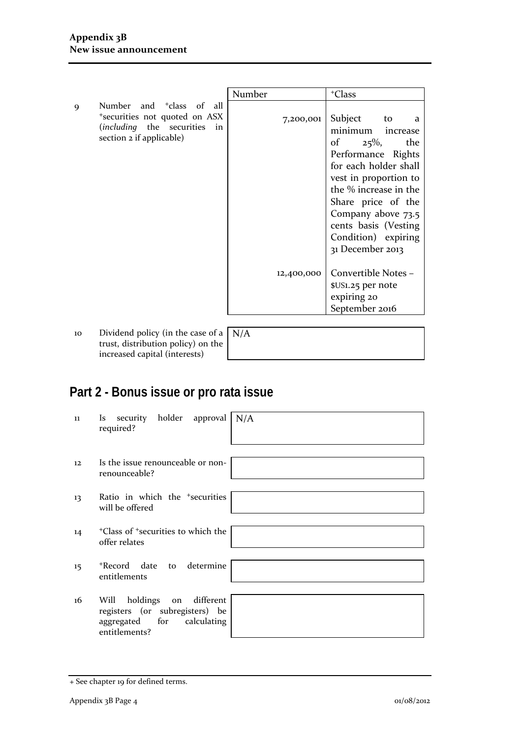|   |                                                                                                                                      | Number     | <sup>+</sup> Class                                                                                                                                                                                                                                                                          |
|---|--------------------------------------------------------------------------------------------------------------------------------------|------------|---------------------------------------------------------------------------------------------------------------------------------------------------------------------------------------------------------------------------------------------------------------------------------------------|
| 9 | Number and <sup>+</sup> class of all<br>*securities not quoted on ASX<br>(including the securities<br>in<br>section 2 if applicable) | 7,200,001  | Subject<br>to<br>- a<br>minimum<br>increase<br>$\circ$ f<br>$25\%,$<br>the<br>Performance Rights<br>for each holder shall<br>vest in proportion to<br>the % increase in the<br>Share price of the<br>Company above 73.5<br>cents basis (Vesting)<br>Condition) expiring<br>31 December 2013 |
|   |                                                                                                                                      | 12,400,000 | Convertible Notes -<br>\$US1.25 per note<br>expiring 20<br>September 2016                                                                                                                                                                                                                   |

10 Dividend policy (in the case of a trust, distribution policy) on the increased capital (interests)  $N/A$ 

# **Part 2 - Bonus issue or pro rata issue**

| 11 | security holder approval $N/A$<br><i>Is</i><br>required?                                                             |  |
|----|----------------------------------------------------------------------------------------------------------------------|--|
| 12 | Is the issue renounceable or non-<br>renounceable?                                                                   |  |
| 13 | Ratio in which the <sup>+</sup> securities<br>will be offered                                                        |  |
| 14 | <sup>+</sup> Class of <sup>+</sup> securities to which the<br>offer relates                                          |  |
| 15 | *Record date to determine<br>entitlements                                                                            |  |
| 16 | holdings<br>different<br>Will<br>on<br>registers (or subregisters) be<br>aggregated for calculating<br>entitlements? |  |

<sup>+</sup> See chapter 19 for defined terms.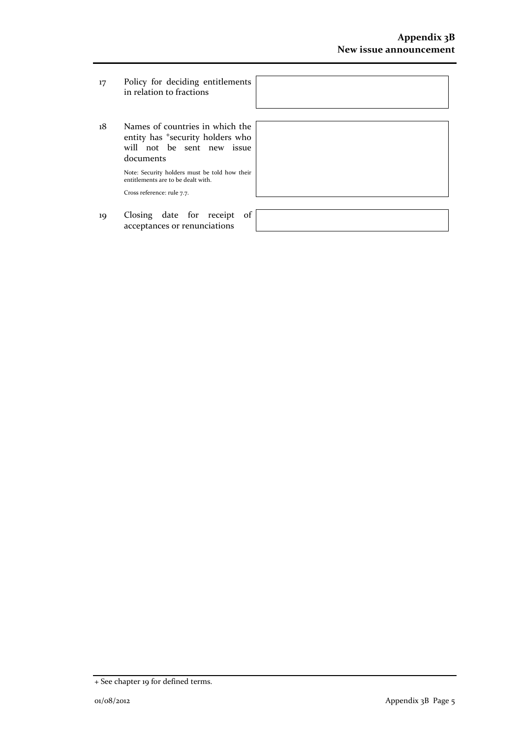- 17 Policy for deciding entitlements in relation to fractions
- 18 Names of countries in which the entity has <sup>+</sup>security holders who will not be sent new issue documents

Note: Security holders must be told how their entitlements are to be dealt with.

Cross reference: rule 7.7.

19 Closing date for receipt of acceptances or renunciations

<sup>+</sup> See chapter 19 for defined terms.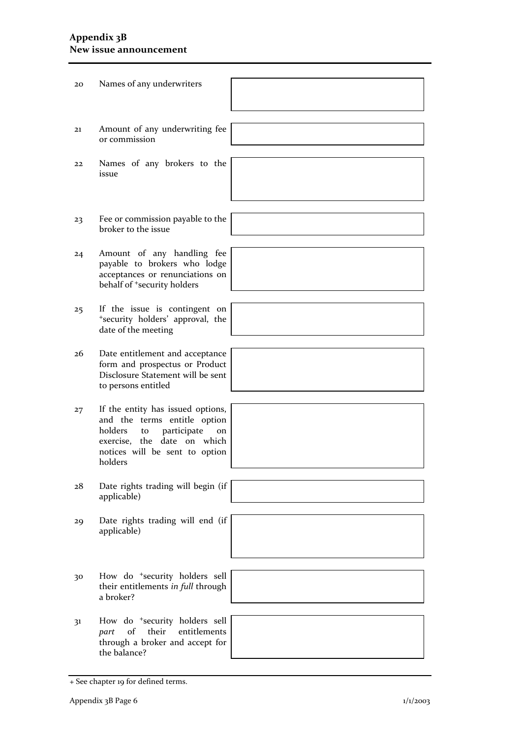#### **Appendix 3B New issue announcement**

| 20 | Names of any underwriters                                                                                                                                                           |  |
|----|-------------------------------------------------------------------------------------------------------------------------------------------------------------------------------------|--|
|    |                                                                                                                                                                                     |  |
| 21 | Amount of any underwriting fee<br>or commission                                                                                                                                     |  |
|    |                                                                                                                                                                                     |  |
| 22 | Names of any brokers to the<br>issue                                                                                                                                                |  |
|    |                                                                                                                                                                                     |  |
| 23 | Fee or commission payable to the<br>broker to the issue                                                                                                                             |  |
|    |                                                                                                                                                                                     |  |
| 24 | Amount of any handling fee<br>payable to brokers who lodge<br>acceptances or renunciations on<br>behalf of <sup>+</sup> security holders                                            |  |
|    |                                                                                                                                                                                     |  |
| 25 | If the issue is contingent on<br>*security holders' approval, the<br>date of the meeting                                                                                            |  |
|    |                                                                                                                                                                                     |  |
| 26 | Date entitlement and acceptance<br>form and prospectus or Product<br>Disclosure Statement will be sent<br>to persons entitled                                                       |  |
|    |                                                                                                                                                                                     |  |
| 27 | If the entity has issued options,<br>and the terms entitle option<br>holders<br>participate<br>to<br>on<br>exercise, the date on which<br>notices will be sent to option<br>holders |  |
|    |                                                                                                                                                                                     |  |
| 28 | Date rights trading will begin (if<br>applicable)                                                                                                                                   |  |
|    |                                                                                                                                                                                     |  |
| 29 | Date rights trading will end (if<br>applicable)                                                                                                                                     |  |
|    |                                                                                                                                                                                     |  |
| 30 | How do <sup>+</sup> security holders sell<br>their entitlements in full through<br>a broker?                                                                                        |  |
|    |                                                                                                                                                                                     |  |
| 31 | How do <sup>+</sup> security holders sell<br>of<br>their<br>entitlements<br>part<br>through a broker and accept for<br>the balance?                                                 |  |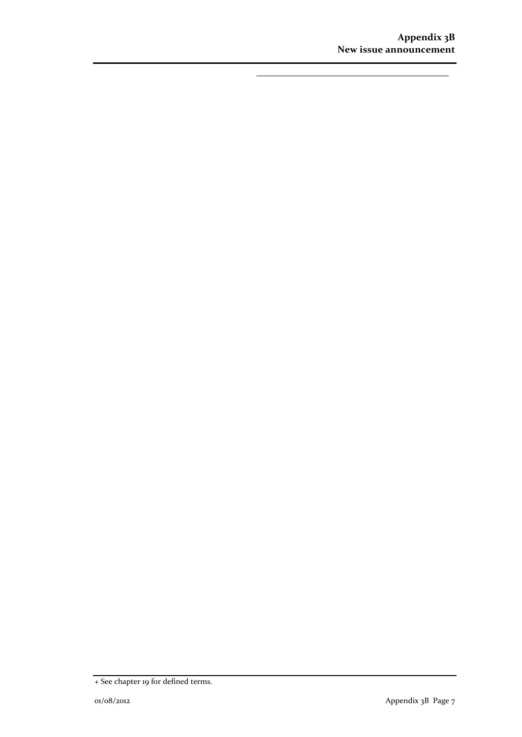<sup>+</sup> See chapter 19 for defined terms.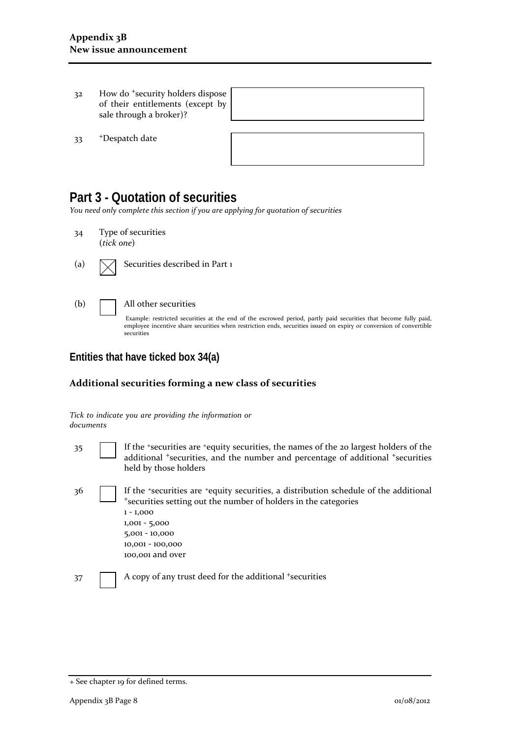- 32 How do <sup>+</sup>security holders dispose of their entitlements (except by sale through a broker)?
- 33 <sup>+</sup>Despatch date

## **Part 3 - Quotation of securities**

*You need only complete this section if you are applying for quotation of securities*

34 Type of securities (*tick one*) (a)  $\sqrt{\phantom{a}}$  Securities described in Part 1 (b) All other securities Example: restricted securities at the end of the escrowed period, partly paid securities that become fully paid, employee incentive share securities when restriction ends, securities issued on expiry or conversion of convertible

**Entities that have ticked box 34(a)**

securities

#### **Additional securities forming a new class of securities**

|           |  |  | Tick to indicate you are providing the information or |  |
|-----------|--|--|-------------------------------------------------------|--|
| documents |  |  |                                                       |  |

- 35 If the +securities are +equity securities, the names of the 20 largest holders of the additional <sup>+</sup>securities, and the number and percentage of additional <sup>+</sup>securities held by those holders
- 36 If the <sup>+</sup>securities are <sup>+</sup>equity securities, a distribution schedule of the additional <sup>+</sup>securities setting out the number of holders in the categories 1 - 1,000 1,001 - 5,000 5,001 - 10,000 10,001 - 100,000 100,001 and over

37 A copy of any trust deed for the additional +securities

<sup>+</sup> See chapter 19 for defined terms.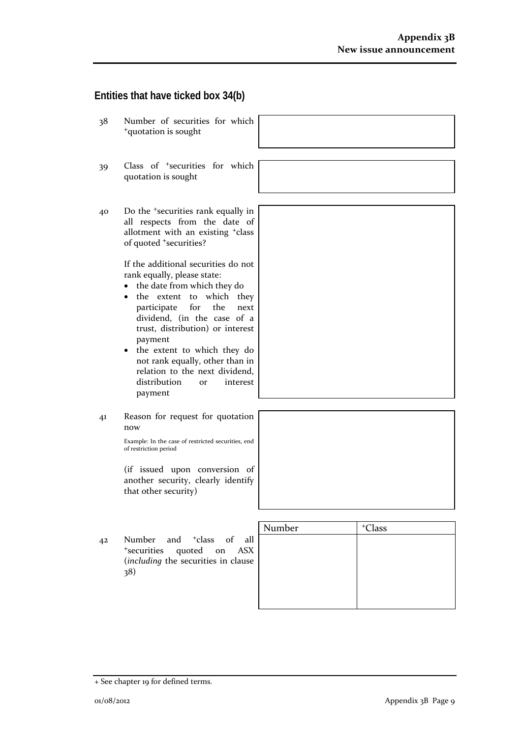## **Entities that have ticked box 34(b)**

38 Number of securities for which <sup>+</sup>quotation is sought 39 Class of <sup>+</sup>securities for which quotation is sought 40 Do the <sup>+</sup>securities rank equally in all respects from the date of allotment with an existing <sup>+</sup>class of quoted <sup>+</sup>securities? If the additional securities do not rank equally, please state: • the date from which they do • the extent to which they participate for the next dividend, (in the case of a trust, distribution) or interest payment • the extent to which they do not rank equally, other than in relation to the next dividend, distribution or interest payment 41 Reason for request for quotation now Example: In the case of restricted securities, end of restriction period (if issued upon conversion of another security, clearly identify that other security) Number | +Class 42 Number and <sup>+</sup>class of all <sup>+</sup>securities quoted on ASX (*including* the securities in clause

38)

<sup>+</sup> See chapter 19 for defined terms.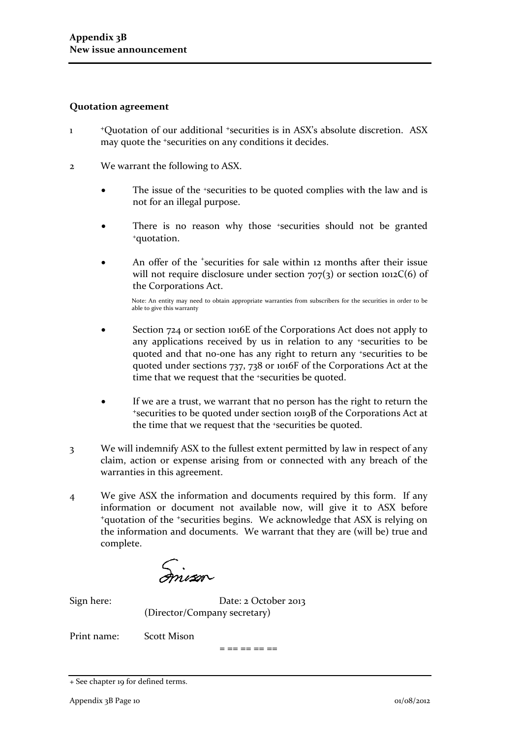#### **Quotation agreement**

- 1 <sup>+</sup>Quotation of our additional +securities is in ASX's absolute discretion. ASX may quote the +securities on any conditions it decides.
- 2 We warrant the following to ASX.
	- The issue of the <sup>+</sup>securities to be quoted complies with the law and is not for an illegal purpose.
	- There is no reason why those <sup>+</sup>securities should not be granted <sup>+</sup>quotation.
	- An offer of the <sup>+</sup>securities for sale within 12 months after their issue will not require disclosure under section  $707(3)$  or section  $1012C(6)$  of the Corporations Act.

Note: An entity may need to obtain appropriate warranties from subscribers for the securities in order to be able to give this warranty

- Section 724 or section 1016E of the Corporations Act does not apply to any applications received by us in relation to any +securities to be quoted and that no-one has any right to return any +securities to be quoted under sections 737, 738 or 1016F of the Corporations Act at the time that we request that the <sup>+</sup>securities be quoted.
- If we are a trust, we warrant that no person has the right to return the <sup>+</sup>securities to be quoted under section 1019B of the Corporations Act at the time that we request that the +securities be quoted.
- 3 We will indemnify ASX to the fullest extent permitted by law in respect of any claim, action or expense arising from or connected with any breach of the warranties in this agreement.
- 4 We give ASX the information and documents required by this form. If any information or document not available now, will give it to ASX before <sup>+</sup>quotation of the +securities begins. We acknowledge that ASX is relying on the information and documents. We warrant that they are (will be) true and complete.

Sign here: Date: 2 October 2013 (Director/Company secretary)

Print name: Scott Mison

 $=$   $=$   $=$   $=$   $=$   $=$ 

<sup>+</sup> See chapter 19 for defined terms.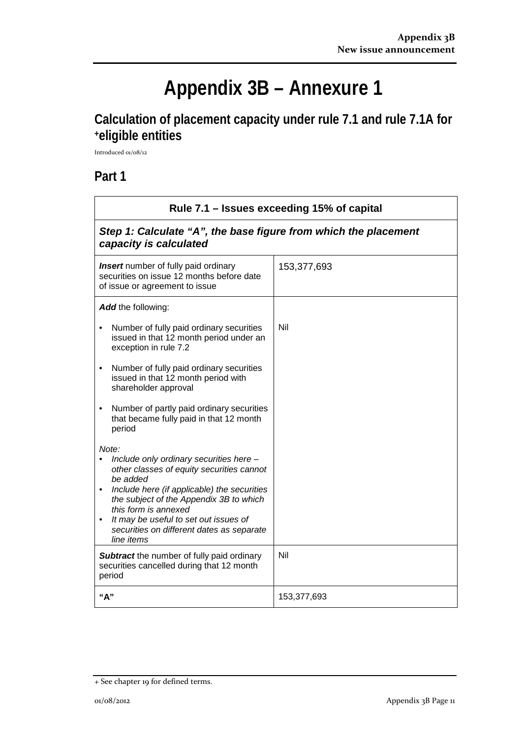# **Appendix 3B – Annexure 1**

# **Calculation of placement capacity under rule 7.1 and rule 7.1A for +eligible entities**

Introduced 01/08/12

# **Part 1**

| Rule 7.1 – Issues exceeding 15% of capital                                                                                                                                                                                                                                                                                      |             |  |
|---------------------------------------------------------------------------------------------------------------------------------------------------------------------------------------------------------------------------------------------------------------------------------------------------------------------------------|-------------|--|
| Step 1: Calculate "A", the base figure from which the placement<br>capacity is calculated                                                                                                                                                                                                                                       |             |  |
| <b>Insert</b> number of fully paid ordinary<br>securities on issue 12 months before date<br>of issue or agreement to issue                                                                                                                                                                                                      | 153,377,693 |  |
| Add the following:                                                                                                                                                                                                                                                                                                              |             |  |
| Number of fully paid ordinary securities<br>$\bullet$<br>issued in that 12 month period under an<br>exception in rule 7.2                                                                                                                                                                                                       | Nil         |  |
| Number of fully paid ordinary securities<br>issued in that 12 month period with<br>shareholder approval                                                                                                                                                                                                                         |             |  |
| Number of partly paid ordinary securities<br>$\bullet$<br>that became fully paid in that 12 month<br>period                                                                                                                                                                                                                     |             |  |
| Note:<br>Include only ordinary securities here -<br>other classes of equity securities cannot<br>be added<br>Include here (if applicable) the securities<br>the subject of the Appendix 3B to which<br>this form is annexed<br>It may be useful to set out issues of<br>securities on different dates as separate<br>line items |             |  |
| <b>Subtract</b> the number of fully paid ordinary<br>securities cancelled during that 12 month<br>period                                                                                                                                                                                                                        | Nil         |  |
| "A"                                                                                                                                                                                                                                                                                                                             | 153,377,693 |  |

<sup>+</sup> See chapter 19 for defined terms.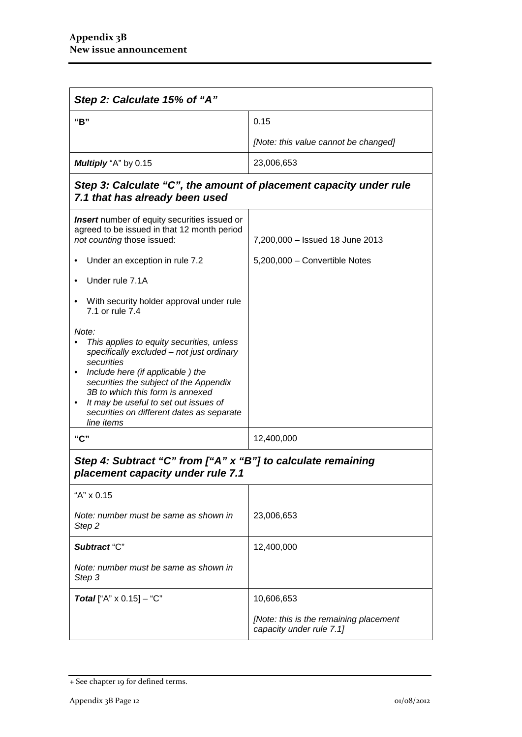| Step 2: Calculate 15% of "A"                                                                                                                                                                                                                                                                                                                     |                                                                    |  |  |
|--------------------------------------------------------------------------------------------------------------------------------------------------------------------------------------------------------------------------------------------------------------------------------------------------------------------------------------------------|--------------------------------------------------------------------|--|--|
| "B"                                                                                                                                                                                                                                                                                                                                              | 0.15                                                               |  |  |
|                                                                                                                                                                                                                                                                                                                                                  | [Note: this value cannot be changed]                               |  |  |
| Multiply "A" by 0.15                                                                                                                                                                                                                                                                                                                             | 23,006,653                                                         |  |  |
| Step 3: Calculate "C", the amount of placement capacity under rule<br>7.1 that has already been used                                                                                                                                                                                                                                             |                                                                    |  |  |
| <b>Insert</b> number of equity securities issued or<br>agreed to be issued in that 12 month period<br>not counting those issued:                                                                                                                                                                                                                 | 7,200,000 - Issued 18 June 2013                                    |  |  |
| Under an exception in rule 7.2                                                                                                                                                                                                                                                                                                                   | 5,200,000 - Convertible Notes                                      |  |  |
| Under rule 7.1A                                                                                                                                                                                                                                                                                                                                  |                                                                    |  |  |
| With security holder approval under rule<br>7.1 or rule 7.4                                                                                                                                                                                                                                                                                      |                                                                    |  |  |
| Note:<br>This applies to equity securities, unless<br>specifically excluded - not just ordinary<br>securities<br>Include here (if applicable) the<br>securities the subject of the Appendix<br>3B to which this form is annexed<br>It may be useful to set out issues of<br>$\bullet$<br>securities on different dates as separate<br>line items |                                                                    |  |  |
| "C"                                                                                                                                                                                                                                                                                                                                              | 12,400,000                                                         |  |  |
| Step 4: Subtract "C" from ["A" x "B"] to calculate remaining<br>placement capacity under rule 7.1                                                                                                                                                                                                                                                |                                                                    |  |  |
| "A" x 0.15                                                                                                                                                                                                                                                                                                                                       |                                                                    |  |  |
| Note: number must be same as shown in<br>Step <sub>2</sub>                                                                                                                                                                                                                                                                                       | 23,006,653                                                         |  |  |
| Subtract "C"                                                                                                                                                                                                                                                                                                                                     | 12,400,000                                                         |  |  |
| Note: number must be same as shown in<br>Step 3                                                                                                                                                                                                                                                                                                  |                                                                    |  |  |
| <b>Total</b> ["A" $\times$ 0.15] – "C"                                                                                                                                                                                                                                                                                                           | 10,606,653                                                         |  |  |
|                                                                                                                                                                                                                                                                                                                                                  | [Note: this is the remaining placement<br>capacity under rule 7.1] |  |  |

<sup>+</sup> See chapter 19 for defined terms.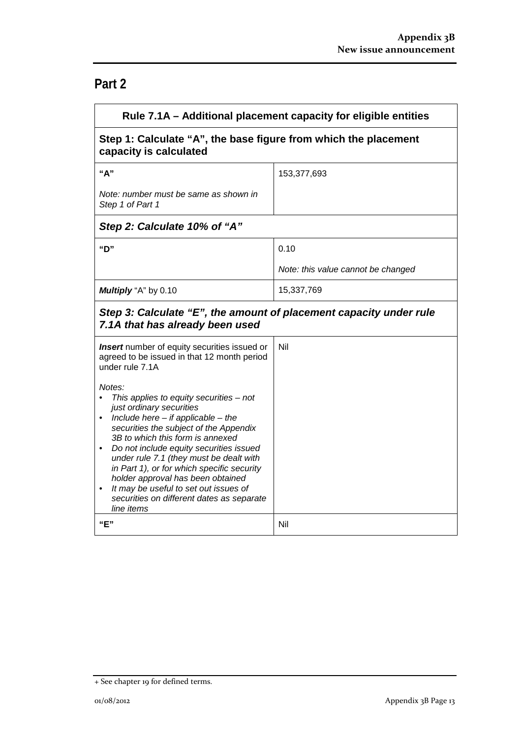# **Part 2**

| Rule 7.1A – Additional placement capacity for eligible entities                                                                                                                                                                                                                                                                                                                                                                                                                                                             |                                    |  |  |
|-----------------------------------------------------------------------------------------------------------------------------------------------------------------------------------------------------------------------------------------------------------------------------------------------------------------------------------------------------------------------------------------------------------------------------------------------------------------------------------------------------------------------------|------------------------------------|--|--|
| Step 1: Calculate "A", the base figure from which the placement<br>capacity is calculated                                                                                                                                                                                                                                                                                                                                                                                                                                   |                                    |  |  |
| "A"                                                                                                                                                                                                                                                                                                                                                                                                                                                                                                                         | 153,377,693                        |  |  |
| Note: number must be same as shown in<br>Step 1 of Part 1                                                                                                                                                                                                                                                                                                                                                                                                                                                                   |                                    |  |  |
| Step 2: Calculate 10% of "A"                                                                                                                                                                                                                                                                                                                                                                                                                                                                                                |                                    |  |  |
| "D"                                                                                                                                                                                                                                                                                                                                                                                                                                                                                                                         | 0.10                               |  |  |
|                                                                                                                                                                                                                                                                                                                                                                                                                                                                                                                             | Note: this value cannot be changed |  |  |
| Multiply "A" by 0.10                                                                                                                                                                                                                                                                                                                                                                                                                                                                                                        | 15,337,769                         |  |  |
| Step 3: Calculate "E", the amount of placement capacity under rule<br>7.1A that has already been used                                                                                                                                                                                                                                                                                                                                                                                                                       |                                    |  |  |
| <b>Insert</b> number of equity securities issued or<br>agreed to be issued in that 12 month period<br>under rule 7.1A                                                                                                                                                                                                                                                                                                                                                                                                       | Nil                                |  |  |
| Notes:<br>This applies to equity securities $-$ not<br>just ordinary securities<br>Include here $-$ if applicable $-$ the<br>$\bullet$<br>securities the subject of the Appendix<br>3B to which this form is annexed<br>Do not include equity securities issued<br>$\bullet$<br>under rule 7.1 (they must be dealt with<br>in Part 1), or for which specific security<br>holder approval has been obtained<br>It may be useful to set out issues of<br>$\bullet$<br>securities on different dates as separate<br>line items |                                    |  |  |
| "F"                                                                                                                                                                                                                                                                                                                                                                                                                                                                                                                         | Nil                                |  |  |

<sup>+</sup> See chapter 19 for defined terms.